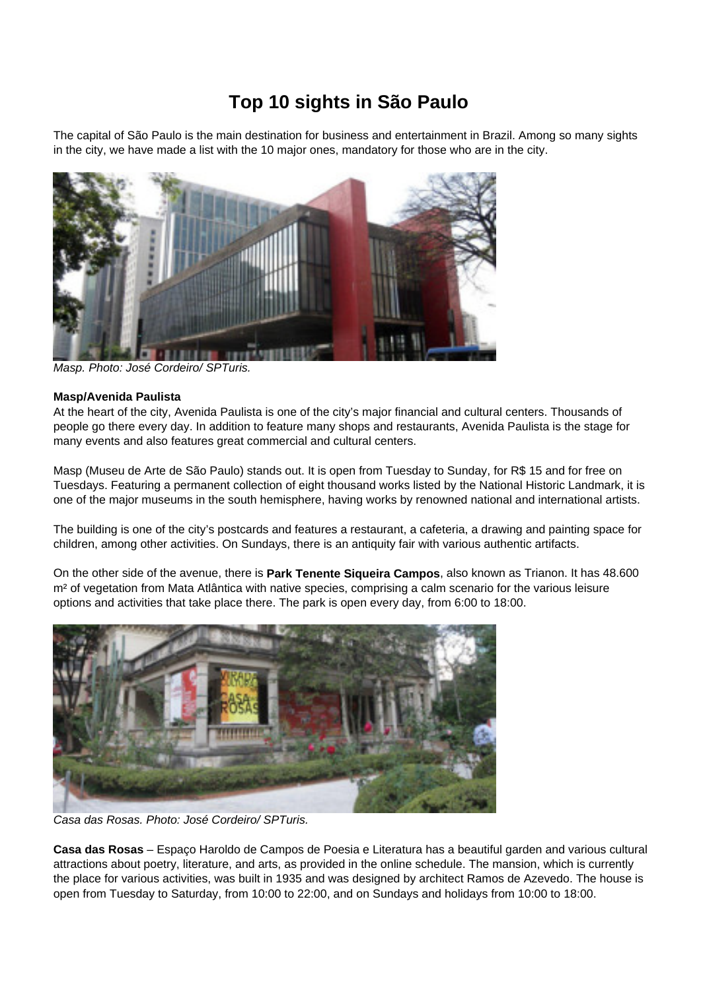# **Top 10 sights in São Paulo**

The capital of São Paulo is the main destination for business and entertainment in Brazil. Among so many sights in the city, we have made a list with the 10 major ones, mandatory for those who are in the city.



Masp. Photo: José Cordeiro/ SPTuris.

#### **Masp/Avenida Paulista**

At the heart of the city, Avenida Paulista is one of the city's major financial and cultural centers. Thousands of people go there every day. In addition to feature many shops and restaurants, Avenida Paulista is the stage for many events and also features great commercial and cultural centers.

Masp (Museu de Arte de São Paulo) stands out. It is open from Tuesday to Sunday, for R\$ 15 and for free on Tuesdays. Featuring a permanent collection of eight thousand works listed by the National Historic Landmark, it is one of the major museums in the south hemisphere, having works by renowned national and international artists.

The building is one of the city's postcards and features a restaurant, a cafeteria, a drawing and painting space for children, among other activities. On Sundays, there is an antiquity fair with various authentic artifacts.

On the other side of the avenue, there is **Park Tenente Siqueira Campos**, also known as Trianon. It has 48.600 m² of vegetation from Mata Atlântica with native species, comprising a calm scenario for the various leisure options and activities that take place there. The park is open every day, from 6:00 to 18:00.



Casa das Rosas. Photo: José Cordeiro/ SPTuris.

**Casa das Rosas** – Espaço Haroldo de Campos de Poesia e Literatura has a beautiful garden and various cultural attractions about poetry, literature, and arts, as provided in the online schedule. The mansion, which is currently the place for various activities, was built in 1935 and was designed by architect Ramos de Azevedo. The house is open from Tuesday to Saturday, from 10:00 to 22:00, and on Sundays and holidays from 10:00 to 18:00.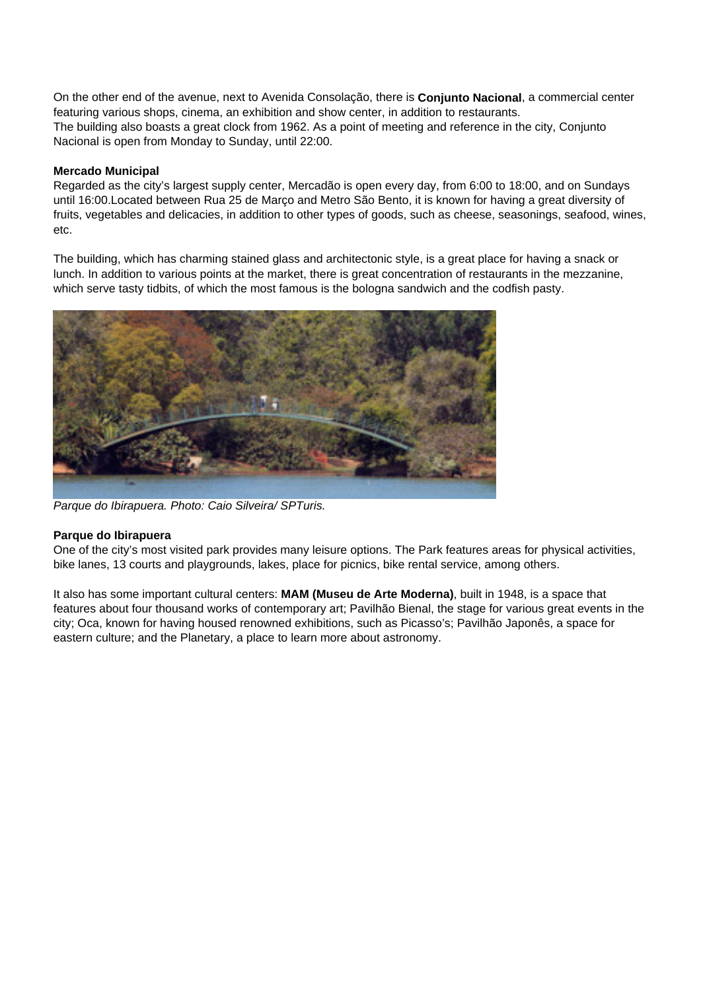On the other end of the avenue, next to Avenida Consolação, there is **Conjunto Nacional**, a commercial center featuring various shops, cinema, an exhibition and show center, in addition to restaurants. The building also boasts a great clock from 1962. As a point of meeting and reference in the city, Conjunto Nacional is open from Monday to Sunday, until 22:00.

## **Mercado Municipal**

Regarded as the city's largest supply center, Mercadão is open every day, from 6:00 to 18:00, and on Sundays until 16:00.Located between Rua 25 de Março and Metro São Bento, it is known for having a great diversity of fruits, vegetables and delicacies, in addition to other types of goods, such as cheese, seasonings, seafood, wines, etc.

The building, which has charming stained glass and architectonic style, is a great place for having a snack or lunch. In addition to various points at the market, there is great concentration of restaurants in the mezzanine, which serve tasty tidbits, of which the most famous is the bologna sandwich and the codfish pasty.



Parque do Ibirapuera. Photo: Caio Silveira/ SPTuris.

## **Parque do Ibirapuera**

One of the city's most visited park provides many leisure options. The Park features areas for physical activities, bike lanes, 13 courts and playgrounds, lakes, place for picnics, bike rental service, among others.

It also has some important cultural centers: **MAM (Museu de Arte Moderna)**, built in 1948, is a space that features about four thousand works of contemporary art; Pavilhão Bienal, the stage for various great events in the city; Oca, known for having housed renowned exhibitions, such as Picasso's; Pavilhão Japonês, a space for eastern culture; and the Planetary, a place to learn more about astronomy.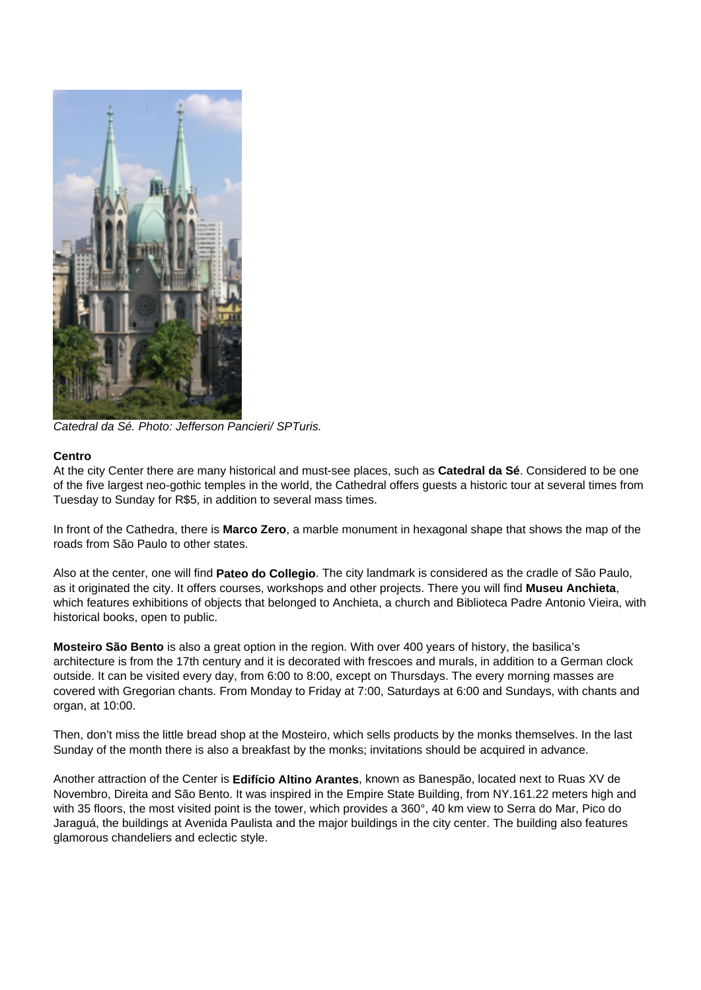

Catedral da Sé. Photo: Jefferson Pancieri/ SPTuris.

## **Centro**

At the city Center there are many historical and must-see places, such as **Catedral da Sé**. Considered to be one of the five largest neo-gothic temples in the world, the Cathedral offers guests a historic tour at several times from Tuesday to Sunday for R\$5, in addition to several mass times.

In front of the Cathedra, there is **Marco Zero**, a marble monument in hexagonal shape that shows the map of the roads from São Paulo to other states.

Also at the center, one will find **Pateo do Collegio**. The city landmark is considered as the cradle of São Paulo, as it originated the city. It offers courses, workshops and other projects. There you will find **Museu Anchieta**, which features exhibitions of objects that belonged to Anchieta, a church and Biblioteca Padre Antonio Vieira, with historical books, open to public.

**Mosteiro São Bento** is also a great option in the region. With over 400 years of history, the basilica's architecture is from the 17th century and it is decorated with frescoes and murals, in addition to a German clock outside. It can be visited every day, from 6:00 to 8:00, except on Thursdays. The every morning masses are covered with Gregorian chants. From Monday to Friday at 7:00, Saturdays at 6:00 and Sundays, with chants and organ, at 10:00.

Then, don't miss the little bread shop at the Mosteiro, which sells products by the monks themselves. In the last Sunday of the month there is also a breakfast by the monks; invitations should be acquired in advance.

Another attraction of the Center is **Edifício Altino Arantes**, known as Banespão, located next to Ruas XV de Novembro, Direita and São Bento. It was inspired in the Empire State Building, from NY.161.22 meters high and with 35 floors, the most visited point is the tower, which provides a 360°, 40 km view to Serra do Mar, Pico do Jaraguá, the buildings at Avenida Paulista and the major buildings in the city center. The building also features glamorous chandeliers and eclectic style.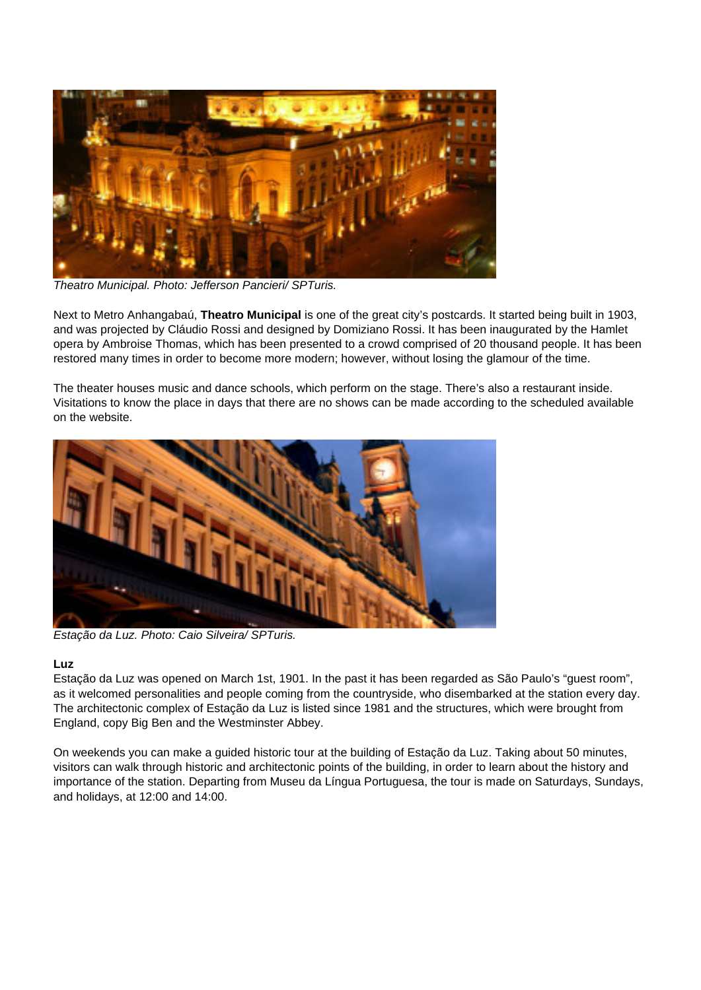

Theatro Municipal. Photo: Jefferson Pancieri/ SPTuris.

Next to Metro Anhangabaú, **Theatro Municipal** is one of the great city's postcards. It started being built in 1903, and was projected by Cláudio Rossi and designed by Domiziano Rossi. It has been inaugurated by the Hamlet opera by Ambroise Thomas, which has been presented to a crowd comprised of 20 thousand people. It has been restored many times in order to become more modern; however, without losing the glamour of the time.

The theater houses music and dance schools, which perform on the stage. There's also a restaurant inside. Visitations to know the place in days that there are no shows can be made according to the scheduled available on the website.



Estação da Luz. Photo: Caio Silveira/ SPTuris.

## **Luz**

Estação da Luz was opened on March 1st, 1901. In the past it has been regarded as São Paulo's "guest room", as it welcomed personalities and people coming from the countryside, who disembarked at the station every day. The architectonic complex of Estação da Luz is listed since 1981 and the structures, which were brought from England, copy Big Ben and the Westminster Abbey.

On weekends you can make a guided historic tour at the building of Estação da Luz. Taking about 50 minutes, visitors can walk through historic and architectonic points of the building, in order to learn about the history and importance of the station. Departing from Museu da Língua Portuguesa, the tour is made on Saturdays, Sundays, and holidays, at 12:00 and 14:00.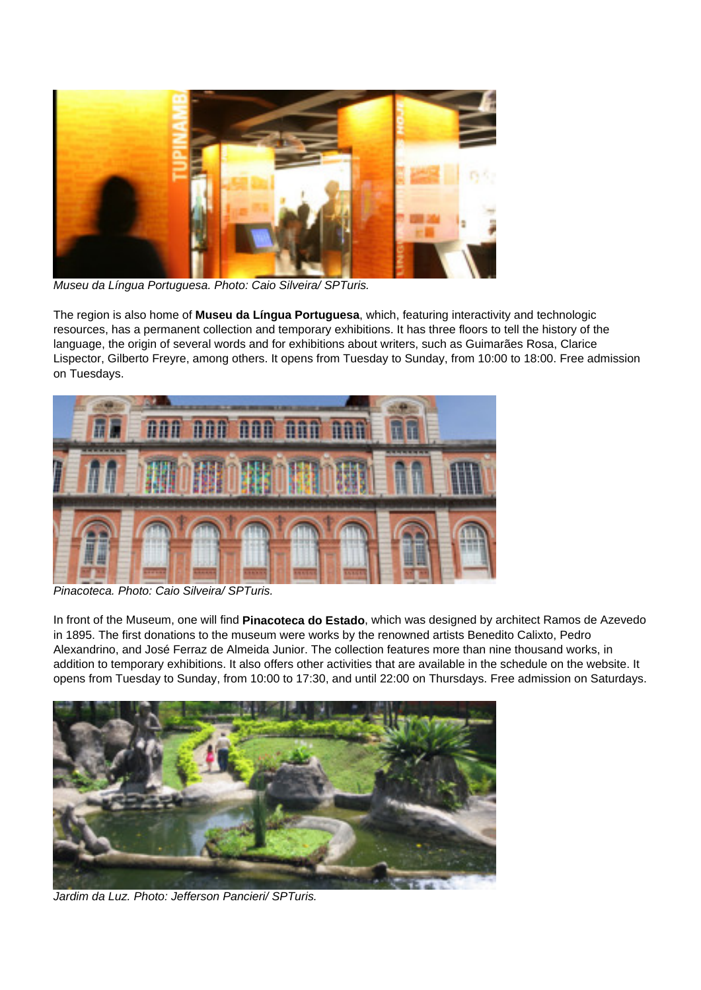

Museu da Língua Portuguesa. Photo: Caio Silveira/ SPTuris.

The region is also home of **Museu da Língua Portuguesa**, which, featuring interactivity and technologic resources, has a permanent collection and temporary exhibitions. It has three floors to tell the history of the language, the origin of several words and for exhibitions about writers, such as Guimarães Rosa, Clarice Lispector, Gilberto Freyre, among others. It opens from Tuesday to Sunday, from 10:00 to 18:00. Free admission on Tuesdays.



Pinacoteca. Photo: Caio Silveira/ SPTuris.

In front of the Museum, one will find **Pinacoteca do Estado**, which was designed by architect Ramos de Azevedo in 1895. The first donations to the museum were works by the renowned artists Benedito Calixto, Pedro Alexandrino, and José Ferraz de Almeida Junior. The collection features more than nine thousand works, in addition to temporary exhibitions. It also offers other activities that are available in the schedule on the website. It opens from Tuesday to Sunday, from 10:00 to 17:30, and until 22:00 on Thursdays. Free admission on Saturdays.



Jardim da Luz. Photo: Jefferson Pancieri/ SPTuris.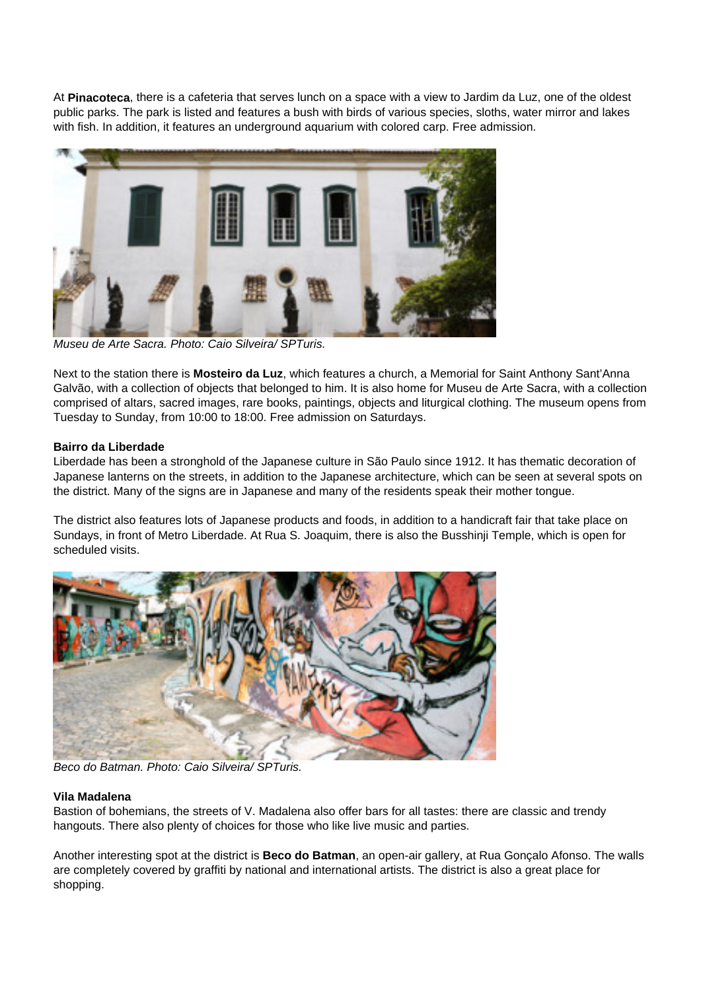At **Pinacoteca**, there is a cafeteria that serves lunch on a space with a view to Jardim da Luz, one of the oldest public parks. The park is listed and features a bush with birds of various species, sloths, water mirror and lakes with fish. In addition, it features an underground aquarium with colored carp. Free admission.



Museu de Arte Sacra. Photo: Caio Silveira/ SPTuris.

Next to the station there is **Mosteiro da Luz**, which features a church, a Memorial for Saint Anthony Sant'Anna Galvão, with a collection of objects that belonged to him. It is also home for Museu de Arte Sacra, with a collection comprised of altars, sacred images, rare books, paintings, objects and liturgical clothing. The museum opens from Tuesday to Sunday, from 10:00 to 18:00. Free admission on Saturdays.

## **Bairro da Liberdade**

Liberdade has been a stronghold of the Japanese culture in São Paulo since 1912. It has thematic decoration of Japanese lanterns on the streets, in addition to the Japanese architecture, which can be seen at several spots on the district. Many of the signs are in Japanese and many of the residents speak their mother tongue.

The district also features lots of Japanese products and foods, in addition to a handicraft fair that take place on Sundays, in front of Metro Liberdade. At Rua S. Joaquim, there is also the Busshinji Temple, which is open for scheduled visits.



Beco do Batman. Photo: Caio Silveira/ SPTuris.

## **Vila Madalena**

Bastion of bohemians, the streets of V. Madalena also offer bars for all tastes: there are classic and trendy hangouts. There also plenty of choices for those who like live music and parties.

Another interesting spot at the district is **Beco do Batman**, an open-air gallery, at Rua Gonçalo Afonso. The walls are completely covered by graffiti by national and international artists. The district is also a great place for shopping.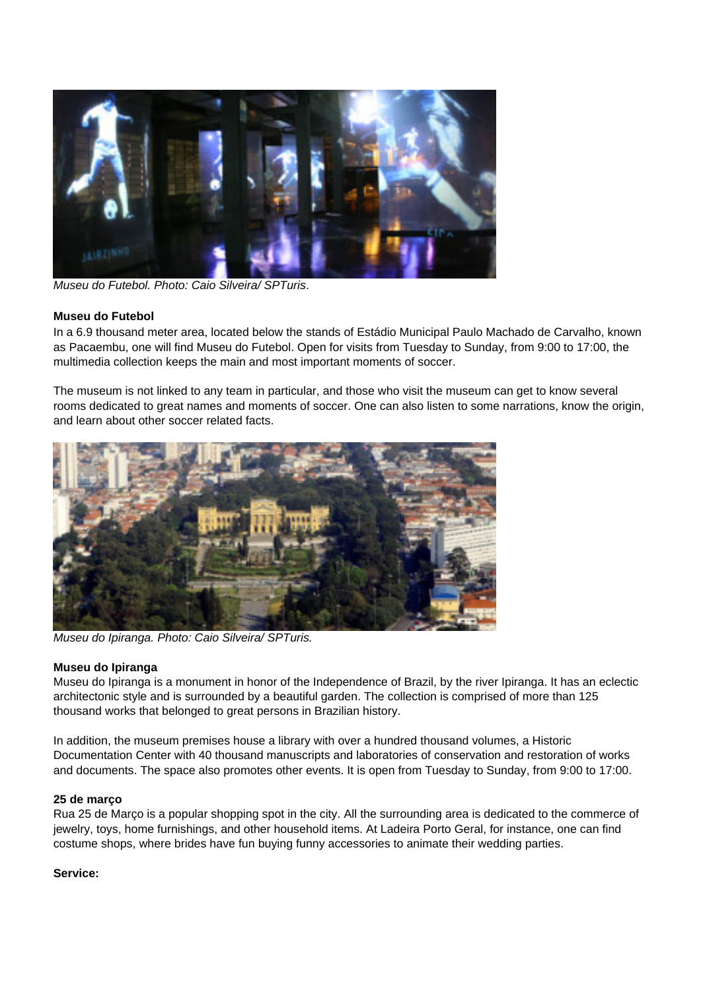

Museu do Futebol. Photo: Caio Silveira/ SPTuris.

## **Museu do Futebol**

In a 6.9 thousand meter area, located below the stands of Estádio Municipal Paulo Machado de Carvalho, known as Pacaembu, one will find Museu do Futebol. Open for visits from Tuesday to Sunday, from 9:00 to 17:00, the multimedia collection keeps the main and most important moments of soccer.

The museum is not linked to any team in particular, and those who visit the museum can get to know several rooms dedicated to great names and moments of soccer. One can also listen to some narrations, know the origin, and learn about other soccer related facts.



Museu do Ipiranga. Photo: Caio Silveira/ SPTuris.

## **Museu do Ipiranga**

Museu do Ipiranga is a monument in honor of the Independence of Brazil, by the river Ipiranga. It has an eclectic architectonic style and is surrounded by a beautiful garden. The collection is comprised of more than 125 thousand works that belonged to great persons in Brazilian history.

In addition, the museum premises house a library with over a hundred thousand volumes, a Historic Documentation Center with 40 thousand manuscripts and laboratories of conservation and restoration of works and documents. The space also promotes other events. It is open from Tuesday to Sunday, from 9:00 to 17:00.

## **25 de março**

Rua 25 de Março is a popular shopping spot in the city. All the surrounding area is dedicated to the commerce of jewelry, toys, home furnishings, and other household items. At Ladeira Porto Geral, for instance, one can find costume shops, where brides have fun buying funny accessories to animate their wedding parties.

## **Service:**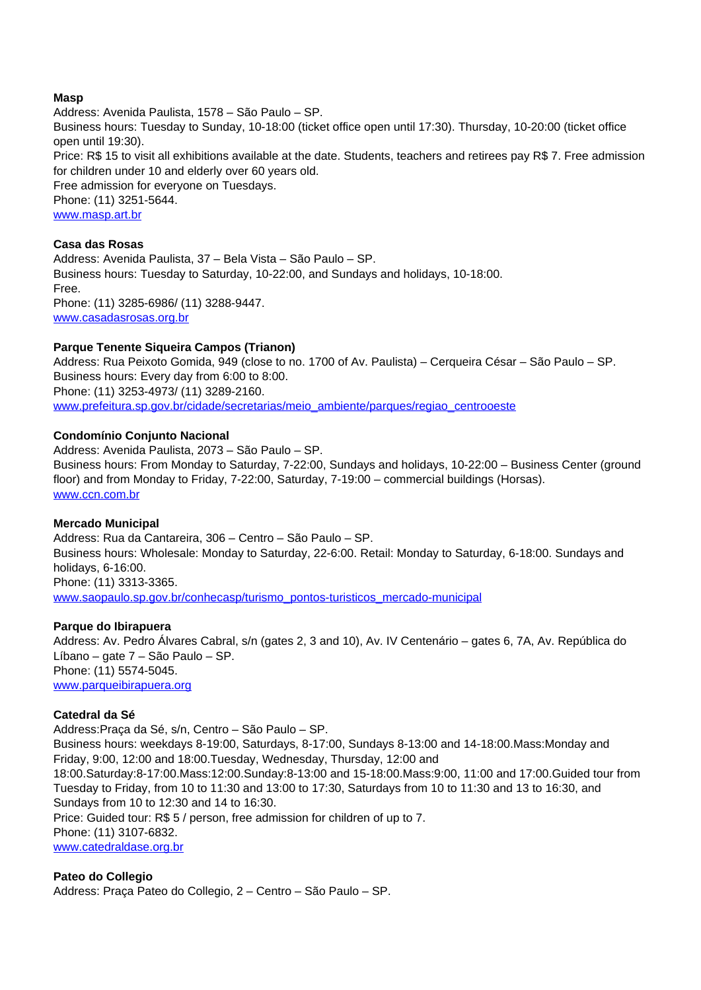## **Masp**

Address: Avenida Paulista, 1578 – São Paulo – SP. Business hours: Tuesday to Sunday, 10-18:00 (ticket office open until 17:30). Thursday, 10-20:00 (ticket office open until 19:30). Price: R\$ 15 to visit all exhibitions available at the date. Students, teachers and retirees pay R\$ 7. Free admission for children under 10 and elderly over 60 years old. Free admission for everyone on Tuesdays. Phone: (11) 3251-5644. www.masp.art.br

## **Casa das Rosas**

Address: Avenida Paulista, 37 – Bela Vista – São Paulo – SP. Business hours: Tuesday to Saturday, 10-22:00, and Sundays and holidays, 10-18:00. Free. Phone: (11) 3285-6986/ (11) 3288-9447. www.casadasrosas.org.br

#### **Parque Tenente Siqueira Campos (Trianon)**

Address: Rua Peixoto Gomida, 949 (close to no. 1700 of Av. Paulista) – Cerqueira César – São Paulo – SP. Business hours: Every day from 6:00 to 8:00. Phone: (11) 3253-4973/ (11) 3289-2160. www.prefeitura.sp.gov.br/cidade/secretarias/meio\_ambiente/parques/regiao\_centrooeste

#### **Condomínio Conjunto Nacional**

Address: Avenida Paulista, 2073 – São Paulo – SP. Business hours: From Monday to Saturday, 7-22:00, Sundays and holidays, 10-22:00 – Business Center (ground floor) and from Monday to Friday, 7-22:00, Saturday, 7-19:00 – commercial buildings (Horsas). www.ccn.com.br

#### **Mercado Municipal**

Address: Rua da Cantareira, 306 – Centro – São Paulo – SP. Business hours: Wholesale: Monday to Saturday, 22-6:00. Retail: Monday to Saturday, 6-18:00. Sundays and holidays, 6-16:00. Phone: (11) 3313-3365. www.saopaulo.sp.gov.br/conhecasp/turismo\_pontos-turisticos\_mercado-municipal

#### **Parque do Ibirapuera**

Address: Av. Pedro Álvares Cabral, s/n (gates 2, 3 and 10), Av. IV Centenário – gates 6, 7A, Av. República do Líbano – gate 7 – São Paulo – SP. Phone: (11) 5574-5045. www.parqueibirapuera.org

#### **Catedral da Sé**

Address:Praça da Sé, s/n, Centro – São Paulo – SP. Business hours: weekdays 8-19:00, Saturdays, 8-17:00, Sundays 8-13:00 and 14-18:00.Mass:Monday and Friday, 9:00, 12:00 and 18:00.Tuesday, Wednesday, Thursday, 12:00 and 18:00.Saturday:8-17:00.Mass:12:00.Sunday:8-13:00 and 15-18:00.Mass:9:00, 11:00 and 17:00.Guided tour from Tuesday to Friday, from 10 to 11:30 and 13:00 to 17:30, Saturdays from 10 to 11:30 and 13 to 16:30, and Sundays from 10 to 12:30 and 14 to 16:30. Price: Guided tour: R\$ 5 / person, free admission for children of up to 7. Phone: (11) 3107-6832. www.catedraldase.org.br

**Pateo do Collegio** Address: Praça Pateo do Collegio, 2 – Centro – São Paulo – SP.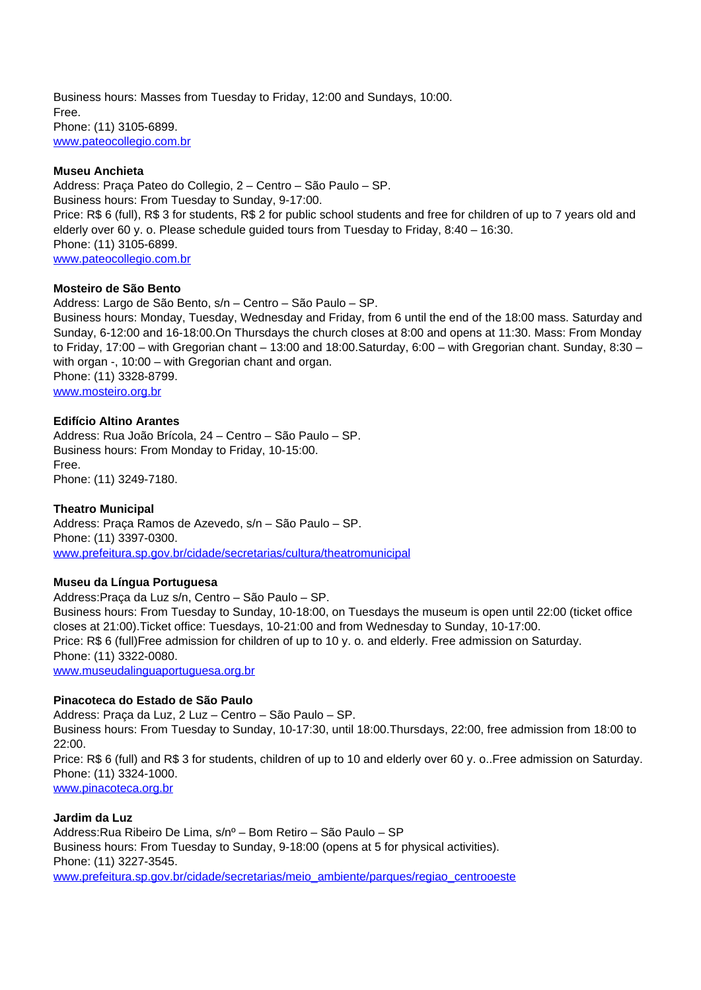Business hours: Masses from Tuesday to Friday, 12:00 and Sundays, 10:00. Free. Phone: (11) 3105-6899. www.pateocollegio.com.br

## **Museu Anchieta**

Address: Praça Pateo do Collegio, 2 – Centro – São Paulo – SP. Business hours: From Tuesday to Sunday, 9-17:00. Price: R\$ 6 (full), R\$ 3 for students, R\$ 2 for public school students and free for children of up to 7 years old and elderly over 60 y. o. Please schedule guided tours from Tuesday to Friday, 8:40 – 16:30. Phone: (11) 3105-6899. www.pateocollegio.com.br

## **Mosteiro de São Bento**

Address: Largo de São Bento, s/n – Centro – São Paulo – SP. Business hours: Monday, Tuesday, Wednesday and Friday, from 6 until the end of the 18:00 mass. Saturday and Sunday, 6-12:00 and 16-18:00.On Thursdays the church closes at 8:00 and opens at 11:30. Mass: From Monday to Friday, 17:00 – with Gregorian chant – 13:00 and 18:00.Saturday, 6:00 – with Gregorian chant. Sunday, 8:30 – with organ -, 10:00 – with Gregorian chant and organ. Phone: (11) 3328-8799. www.mosteiro.org.br

#### **Edifício Altino Arantes**

Address: Rua João Brícola, 24 – Centro – São Paulo – SP. Business hours: From Monday to Friday, 10-15:00. Free. Phone: (11) 3249-7180.

## **Theatro Municipal**

Address: Praça Ramos de Azevedo, s/n – São Paulo – SP. Phone: (11) 3397-0300. www.prefeitura.sp.gov.br/cidade/secretarias/cultura/theatromunicipal

#### **Museu da Língua Portuguesa**

Address:Praça da Luz s/n, Centro – São Paulo – SP. Business hours: From Tuesday to Sunday, 10-18:00, on Tuesdays the museum is open until 22:00 (ticket office closes at 21:00).Ticket office: Tuesdays, 10-21:00 and from Wednesday to Sunday, 10-17:00. Price: R\$ 6 (full)Free admission for children of up to 10 y. o. and elderly. Free admission on Saturday. Phone: (11) 3322-0080. www.museudalinguaportuguesa.org.br

#### **Pinacoteca do Estado de São Paulo**

Address: Praça da Luz, 2 Luz – Centro – São Paulo – SP. Business hours: From Tuesday to Sunday, 10-17:30, until 18:00.Thursdays, 22:00, free admission from 18:00 to  $22:00.$ Price: R\$ 6 (full) and R\$ 3 for students, children of up to 10 and elderly over 60 y. o..Free admission on Saturday. Phone: (11) 3324-1000. www.pinacoteca.org.br

**Jardim da Luz** Address:Rua Ribeiro De Lima, s/nº – Bom Retiro – São Paulo – SP Business hours: From Tuesday to Sunday, 9-18:00 (opens at 5 for physical activities). Phone: (11) 3227-3545. www.prefeitura.sp.gov.br/cidade/secretarias/meio\_ambiente/parques/regiao\_centrooeste